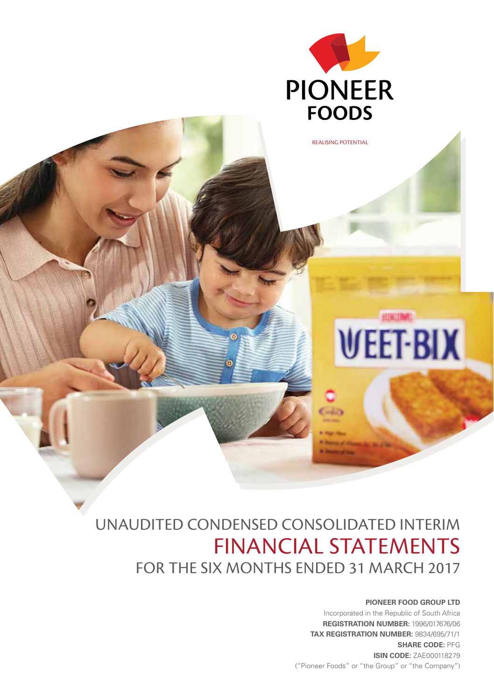

# UNAUDITED CONDENSED CONSOLIDATED INTERIM FINANCIAL STATEMENTS FOR THE SIX MONTHS ENDED 31 MARCH 2017

### **PIONEER FOOD GROUP LTD**

Incorporated in the Republic of South Africa **REGISTRATION NUMBER:** 1996/017676/06 **TAX REGISTRATION NUMBER:** 9834/695/71/1 **SHARE CODE:** PFG **ISIN CODE:** ZAE000118279 ("Pioneer Foods" or "the Group" or "the Company")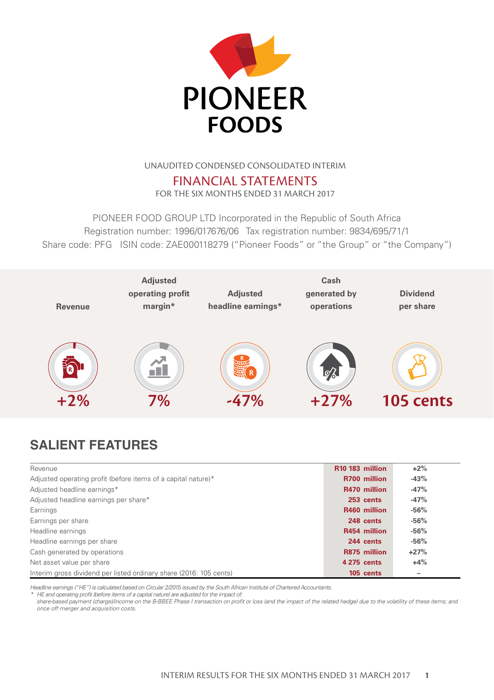

## UNAUDITED CONDENSED CONSOLIDATED INTERIM

FINANCIAL STATEMENTS FOR THE SIX MONTHS ENDED 31 MARCH 2017

PIONEER FOOD GROUP LTD Incorporated in the Republic of South Africa Registration number: 1996/017676/06 Tax registration number: 9834/695/71/1 Share code: PFG ISIN code: ZAE000118279 ("Pioneer Foods" or "the Group" or "the Company")



# **SALIENT FEATURES**

| Revenue                                                            | R <sub>10</sub> 183 million | $+2\%$ |
|--------------------------------------------------------------------|-----------------------------|--------|
| Adjusted operating profit (before items of a capital nature)*      | R700 million                | $-43%$ |
| Adjusted headline earnings*                                        | R470 million                | $-47%$ |
| Adjusted headline earnings per share*                              | 253 cents                   | $-47%$ |
| Earnings                                                           | R460 million                | $-56%$ |
| Earnings per share                                                 | 248 cents                   | $-56%$ |
| Headline earnings                                                  | R454 million                | $-56%$ |
| Headline earnings per share                                        | 244 cents                   | $-56%$ |
| Cash generated by operations                                       | R875 million                | $+27%$ |
| Net asset value per share                                          | 4 275 cents                 | $+4%$  |
| Interim gross dividend per listed ordinary share (2016: 105 cents) | 105 cents                   | -      |

*Headline earnings ("HE") is calculated based on Circular 2/2015 issued by the South African Institute of Chartered Accountants.*

*\* HE and operating profit (before items of a capital nature) are adjusted for the impact of:*

*share-based payment (charge)/income on the B-BBEE Phase I transaction on profit or loss (and the impact of the related hedge) due to the volatility of these items; and once off merger and acquisition costs.*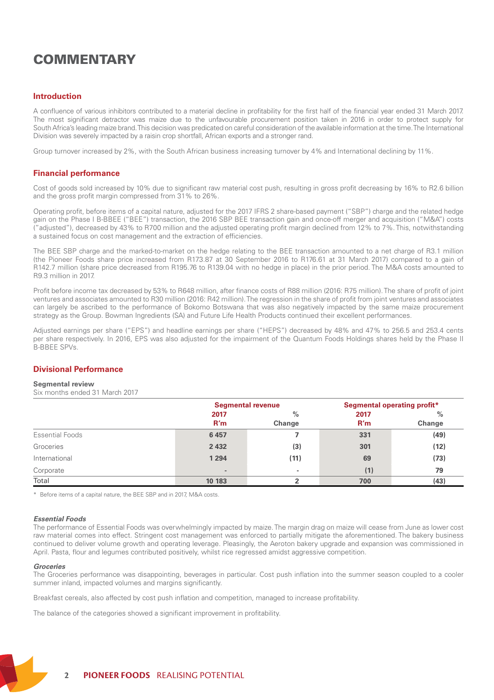# **COMMENTARY**

### **Introduction**

A confluence of various inhibitors contributed to a material decline in profitability for the first half of the financial year ended 31 March 2017. The most significant detractor was maize due to the unfavourable procurement position taken in 2016 in order to protect supply for South Africa's leading maize brand. This decision was predicated on careful consideration of the available information at the time. The International Division was severely impacted by a raisin crop shortfall, African exports and a stronger rand.

Group turnover increased by 2%, with the South African business increasing turnover by 4% and International declining by 11%.

### **Financial performance**

Cost of goods sold increased by 10% due to significant raw material cost push, resulting in gross profit decreasing by 16% to R2.6 billion and the gross profit margin compressed from 31% to 26%.

Operating profit, before items of a capital nature, adjusted for the 2017 IFRS 2 share-based payment ("SBP") charge and the related hedge gain on the Phase I B-BBEE ("BEE") transaction, the 2016 SBP BEE transaction gain and once-off merger and acquisition ("M&A") costs ("adjusted"), decreased by 43% to R700 million and the adjusted operating profit margin declined from 12% to 7%. This, notwithstanding a sustained focus on cost management and the extraction of efficiencies.

The BEE SBP charge and the marked-to-market on the hedge relating to the BEE transaction amounted to a net charge of R3.1 million (the Pioneer Foods share price increased from R173.87 at 30 September 2016 to R176.61 at 31 March 2017) compared to a gain of R142.7 million (share price decreased from R195.76 to R139.04 with no hedge in place) in the prior period. The M&A costs amounted to R9.3 million in 2017.

Profit before income tax decreased by 53% to R648 million, after finance costs of R88 million (2016: R75 million). The share of profit of joint ventures and associates amounted to R30 million (2016: R42 million). The regression in the share of profit from joint ventures and associates can largely be ascribed to the performance of Bokomo Botswana that was also negatively impacted by the same maize procurement strategy as the Group. Bowman Ingredients (SA) and Future Life Health Products continued their excellent performances.

Adjusted earnings per share ("EPS") and headline earnings per share ("HEPS") decreased by 48% and 47% to 256.5 and 253.4 cents per share respectively. In 2016, EPS was also adjusted for the impairment of the Quantum Foods Holdings shares held by the Phase II B-BBEE SPVs.

### **Divisional Performance**

#### **Segmental review**

Six months ended 31 March 2017

|                 |                          | <b>Segmental revenue</b> |             | Segmental operating profit* |
|-----------------|--------------------------|--------------------------|-------------|-----------------------------|
|                 | 2017<br>R'm              | $\%$<br>Change           | 2017<br>R'm | $\frac{0}{2}$<br>Change     |
| Essential Foods | 6457                     |                          | 331         | (49)                        |
| Groceries       | 2 4 3 2                  | (3)                      | 301         | (12)                        |
| International   | 1 2 9 4                  | (11)                     | 69          | (73)                        |
| Corporate       | $\overline{\phantom{a}}$ | $\overline{\phantom{a}}$ | (1)         | 79                          |
| Total           | 10 183                   |                          | 700         | (43)                        |

\* Before items of a capital nature, the BEE SBP and in 2017, M&A costs.

#### *Essential Foods*

The performance of Essential Foods was overwhelmingly impacted by maize. The margin drag on maize will cease from June as lower cost raw material comes into effect. Stringent cost management was enforced to partially mitigate the aforementioned. The bakery business continued to deliver volume growth and operating leverage. Pleasingly, the Aeroton bakery upgrade and expansion was commissioned in April. Pasta, flour and legumes contributed positively, whilst rice regressed amidst aggressive competition.

#### *Groceries*

The Groceries performance was disappointing, beverages in particular. Cost push inflation into the summer season coupled to a cooler summer inland, impacted volumes and margins significantly.

Breakfast cereals, also affected by cost push inflation and competition, managed to increase profitability.

The balance of the categories showed a significant improvement in profitability.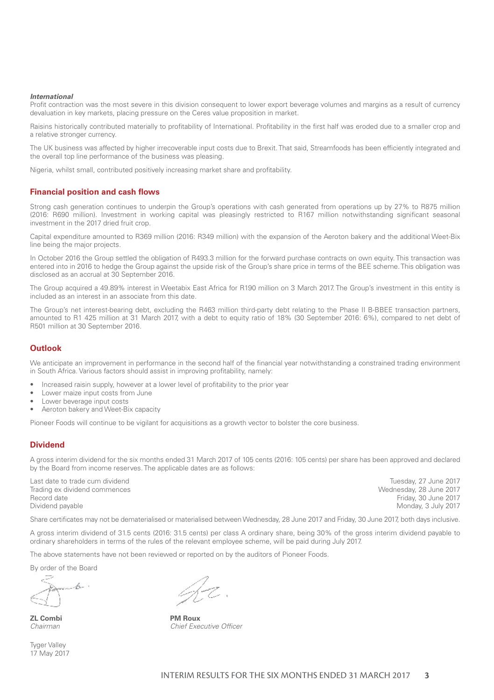### *International*

Profit contraction was the most severe in this division consequent to lower export beverage volumes and margins as a result of currency devaluation in key markets, placing pressure on the Ceres value proposition in market.

Raisins historically contributed materially to profitability of International. Profitability in the first half was eroded due to a smaller crop and a relative stronger currency.

The UK business was affected by higher irrecoverable input costs due to Brexit. That said, Streamfoods has been efficiently integrated and the overall top line performance of the business was pleasing.

Nigeria, whilst small, contributed positively increasing market share and profitability.

### **Financial position and cash flows**

Strong cash generation continues to underpin the Group's operations with cash generated from operations up by 27% to R875 million (2016: R690 million). Investment in working capital was pleasingly restricted to R167 million notwithstanding significant seasonal investment in the 2017 dried fruit crop.

Capital expenditure amounted to R369 million (2016: R349 million) with the expansion of the Aeroton bakery and the additional Weet-Bix line being the major projects.

In October 2016 the Group settled the obligation of R493.3 million for the forward purchase contracts on own equity. This transaction was entered into in 2016 to hedge the Group against the upside risk of the Group's share price in terms of the BEE scheme. This obligation was disclosed as an accrual at 30 September 2016.

The Group acquired a 49.89% interest in Weetabix East Africa for R190 million on 3 March 2017. The Group's investment in this entity is included as an interest in an associate from this date.

The Group's net interest-bearing debt, excluding the R463 million third-party debt relating to the Phase II B-BBEE transaction partners, amounted to R1 425 million at 31 March 2017, with a debt to equity ratio of 18% (30 September 2016: 6%), compared to net debt of R501 million at 30 September 2016.

### **Outlook**

We anticipate an improvement in performance in the second half of the financial year notwithstanding a constrained trading environment in South Africa. Various factors should assist in improving profitability, namely:

- Increased raisin supply, however at a lower level of profitability to the prior year
- Lower maize input costs from June
- Lower beverage input costs
- Aeroton bakery and Weet-Bix capacity

Pioneer Foods will continue to be vigilant for acquisitions as a growth vector to bolster the core business.

### **Dividend**

A gross interim dividend for the six months ended 31 March 2017 of 105 cents (2016: 105 cents) per share has been approved and declared by the Board from income reserves. The applicable dates are as follows:

Last date to trade cum dividend Trading ex dividend commences Record date Dividend payable

Tuesday, 27 June 2017 Wednesday, 28 June 2017 Friday, 30 June 2017 Monday, 3 July 2017

Share certificates may not be dematerialised or materialised between Wednesday, 28 June 2017 and Friday, 30 June 2017, both days inclusive.

A gross interim dividend of 31.5 cents (2016: 31.5 cents) per class A ordinary share, being 30% of the gross interim dividend payable to ordinary shareholders in terms of the rules of the relevant employee scheme, will be paid during July 2017.

The above statements have not been reviewed or reported on by the auditors of Pioneer Foods.

By order of the Board

b-

**ZL Combi PM Roux**

Tyger Valley 17 May 2017

*Chairman Chief Executive Officer*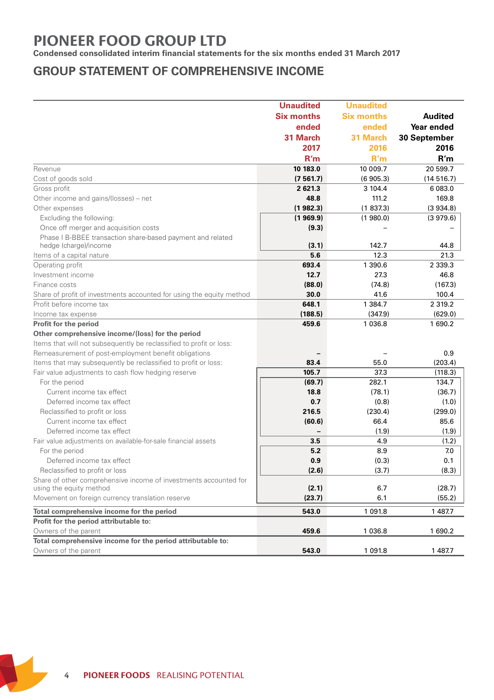# **PIONEER FOOD GROUP LTD**

**Condensed consolidated interim financial statements for the six months ended 31 March 2017**

# **GROUP STATEMENT OF COMPREHENSIVE INCOME**

|                                                                      | <b>Unaudited</b>         | <b>Unaudited</b>  |                |
|----------------------------------------------------------------------|--------------------------|-------------------|----------------|
|                                                                      | <b>Six months</b>        | <b>Six months</b> | <b>Audited</b> |
|                                                                      | ended                    | ended             | Year ended     |
|                                                                      | 31 March                 | 31 March          | 30 September   |
|                                                                      | 2017                     | 2016              | 2016           |
|                                                                      | R'm                      | R'm               | R'm            |
| Revenue                                                              | 10 183.0                 | 10 009.7          | 20 599.7       |
| Cost of goods sold                                                   | (7561.7)                 | (6905.3)          | (14516.7)      |
| Gross profit                                                         | 2 621.3                  | 3 104.4           | 6 083.0        |
| Other income and gains/(losses) – net                                | 48.8                     | 111.2             | 169.8          |
| Other expenses                                                       | (1982.3)                 | (1837.3)          | (3934.8)       |
| Excluding the following:                                             | (1969.9)                 | (1980.0)          | (3979.6)       |
| Once off merger and acquisition costs                                | (9.3)                    |                   |                |
| Phase I B-BBEE transaction share-based payment and related           |                          |                   |                |
| hedge (charge)/income                                                | (3.1)                    | 142.7             | 44.8           |
| Items of a capital nature                                            | 5.6                      | 12.3              | 21.3           |
| Operating profit                                                     | 693.4                    | 1 390.6           | 2 3 3 9 . 3    |
| Investment income                                                    | 12.7                     | 27.3              | 46.8           |
| Finance costs                                                        | (88.0)                   | (74.8)            | (167.3)        |
| Share of profit of investments accounted for using the equity method | 30.0                     | 41.6              | 100.4          |
| Profit before income tax                                             | 648.1                    | 1 384.7           | 2 3 1 9 . 2    |
| Income tax expense                                                   | (188.5)                  | (347.9)           | (629.0)        |
| Profit for the period                                                | 459.6                    | 1 0 3 6.8         | 1 690.2        |
| Other comprehensive income/(loss) for the period                     |                          |                   |                |
| Items that will not subsequently be reclassified to profit or loss:  |                          |                   |                |
| Remeasurement of post-employment benefit obligations                 |                          |                   | 0.9            |
| Items that may subsequently be reclassified to profit or loss:       | 83.4                     | 55.0              | (203.4)        |
| Fair value adjustments to cash flow hedging reserve                  | 105.7                    | 37.3              | (118.3)        |
| For the period                                                       | (69.7)                   | 282.1             | 134.7          |
| Current income tax effect                                            | 18.8                     | (78.1)            | (36.7)         |
| Deferred income tax effect                                           | 0.7                      | (0.8)             | (1.0)          |
| Reclassified to profit or loss                                       | 216.5                    | (230.4)           | (299.0)        |
| Current income tax effect                                            | (60.6)                   | 66.4              | 85.6           |
| Deferred income tax effect                                           | $\overline{\phantom{a}}$ | (1.9)             | (1.9)          |
| Fair value adjustments on available-for-sale financial assets        | 3.5                      | 4.9               | (1.2)          |
| For the period                                                       | 5.2                      | 8.9               | 7.0            |
| Deferred income tax effect                                           | 0.9                      | (0.3)             | 0.1            |
| Reclassified to profit or loss                                       | (2.6)                    | (3.7)             | (8.3)          |
| Share of other comprehensive income of investments accounted for     |                          |                   |                |
| using the equity method                                              | (2.1)                    | 6.7               | (28.7)         |
| Movement on foreign currency translation reserve                     | (23.7)                   | 6.1               | (55.2)         |
| Total comprehensive income for the period                            | 543.0                    | 1 091.8           | 1 487.7        |
| Profit for the period attributable to:                               |                          |                   |                |
| Owners of the parent                                                 | 459.6                    | 1 036.8           | 1 690.2        |
| Total comprehensive income for the period attributable to:           |                          |                   |                |
| Owners of the parent                                                 | 543.0                    | 1 0 9 1.8         | 1 487.7        |

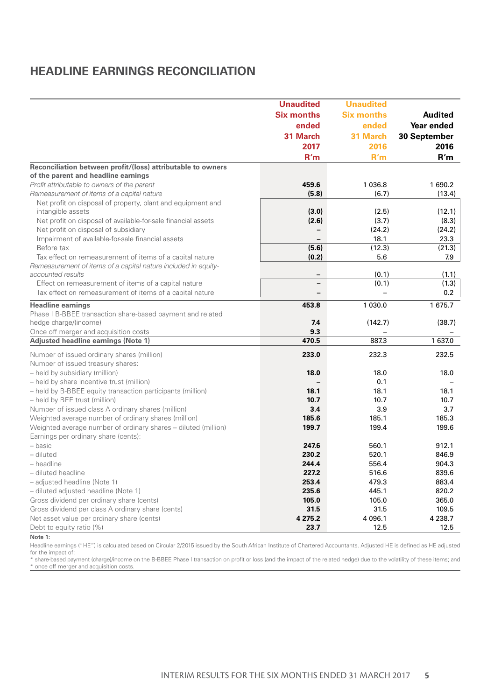# **HEADLINE EARNINGS RECONCILIATION**

|                                                                                                                  | <b>Unaudited</b>         | <b>Unaudited</b>  |              |
|------------------------------------------------------------------------------------------------------------------|--------------------------|-------------------|--------------|
|                                                                                                                  | <b>Six months</b>        | <b>Six months</b> | Audited      |
|                                                                                                                  | ended                    | ended             | Year ended   |
|                                                                                                                  | 31 March                 | 31 March          | 30 September |
|                                                                                                                  | 2017                     | 2016              | 2016         |
|                                                                                                                  | R'm                      | R'm               | R'm          |
| Reconciliation between profit/(loss) attributable to owners                                                      |                          |                   |              |
| of the parent and headline earnings                                                                              |                          |                   |              |
| Profit attributable to owners of the parent                                                                      | 459.6                    | 1 0 3 6.8         | 1690.2       |
| Remeasurement of items of a capital nature                                                                       | (5.8)                    | (6.7)             | (13.4)       |
| Net profit on disposal of property, plant and equipment and                                                      |                          |                   |              |
| intangible assets                                                                                                | (3.0)                    | (2.5)             | (12.1)       |
| Net profit on disposal of available-for-sale financial assets                                                    | (2.6)                    | (3.7)             | (8.3)        |
| Net profit on disposal of subsidiary                                                                             | $\overline{\phantom{0}}$ | (24.2)            | (24.2)       |
| Impairment of available-for-sale financial assets                                                                |                          | 18.1              | 23.3         |
| Before tax                                                                                                       | (5.6)                    | (12.3)            | (21.3)       |
| Tax effect on remeasurement of items of a capital nature                                                         | (0.2)                    | 5.6               | 7.9          |
| Remeasurement of items of a capital nature included in equity-                                                   |                          |                   |              |
| accounted results                                                                                                | $\qquad \qquad -$        | (0.1)<br>(0.1)    | (1.1)        |
| Effect on remeasurement of items of a capital nature<br>Tax effect on remeasurement of items of a capital nature | $\overline{\phantom{0}}$ |                   | (1.3)<br>0.2 |
|                                                                                                                  |                          |                   |              |
| <b>Headline earnings</b>                                                                                         | 453.8                    | 1 030.0           | 1 675.7      |
| Phase I B-BBEE transaction share-based payment and related                                                       |                          |                   |              |
| hedge charge/(income)                                                                                            | 7.4                      | (142.7)           | (38.7)       |
| Once off merger and acquisition costs                                                                            | 9.3                      |                   |              |
| Adjusted headline earnings (Note 1)                                                                              | 470.5                    | 887.3             | 1 637.0      |
| Number of issued ordinary shares (million)                                                                       | 233.0                    | 232.3             | 232.5        |
| Number of issued treasury shares:                                                                                |                          |                   |              |
| - held by subsidiary (million)                                                                                   | 18.0                     | 18.0              | 18.0         |
| - held by share incentive trust (million)                                                                        |                          | 0.1               |              |
| - held by B-BBEE equity transaction participants (million)                                                       | 18.1                     | 18.1              | 18.1         |
| - held by BEE trust (million)                                                                                    | 10.7                     | 10.7              | 10.7         |
| Number of issued class A ordinary shares (million)                                                               | 3.4                      | 3.9               | 3.7          |
| Weighted average number of ordinary shares (million)                                                             | 185.6                    | 185.1             | 185.3        |
| Weighted average number of ordinary shares - diluted (million)                                                   | 199.7                    | 199.4             | 199.6        |
| Earnings per ordinary share (cents):<br>- basic                                                                  | 247.6                    | 560.1             | 912.1        |
| - diluted                                                                                                        | 230.2                    | 520.1             | 846.9        |
| - headline                                                                                                       | 244.4                    | 556.4             | 904.3        |
| - diluted headline                                                                                               | 227.2                    | 516.6             | 839.6        |
| - adjusted headline (Note 1)                                                                                     | 253.4                    | 479.3             | 883.4        |
| - diluted adjusted headline (Note 1)                                                                             | 235.6                    | 445.1             | 820.2        |
| Gross dividend per ordinary share (cents)                                                                        | 105.0                    | 105.0             | 365.0        |
| Gross dividend per class A ordinary share (cents)                                                                | 31.5                     | 31.5              | 109.5        |
| Net asset value per ordinary share (cents)                                                                       | 4 275.2                  | 4 0 96.1          | 4 2 3 8.7    |
| Debt to equity ratio (%)                                                                                         | 23.7                     | 12.5              | 12.5         |

#### **Note 1:**

Headline earnings ("HE") is calculated based on Circular 2/2015 issued by the South African Institute of Chartered Accountants. Adjusted HE is defined as HE adjusted for the impact of:

\* share-based payment (charge)/income on the B-BBEE Phase I transaction on profit or loss (and the impact of the related hedge) due to the volatility of these items; and \* once off merger and acquisition costs.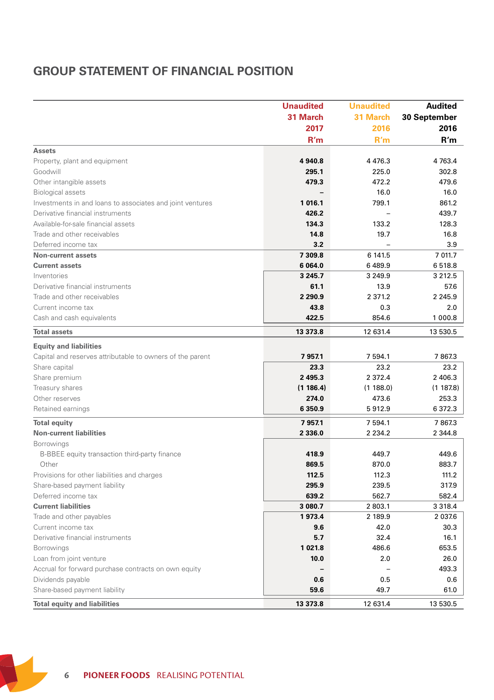# **GROUP STATEMENT OF FINANCIAL POSITION**

|                                                           | <b>Unaudited</b> | <b>Unaudited</b> | <b>Audited</b> |
|-----------------------------------------------------------|------------------|------------------|----------------|
|                                                           | 31 March         | 31 March         | 30 September   |
|                                                           | 2017             | 2016             | 2016           |
|                                                           | R'm              | R'm              | R'm            |
| <b>Assets</b>                                             |                  |                  |                |
| Property, plant and equipment                             | 4 940.8          | 4476.3           | 4 763.4        |
| Goodwill                                                  | 295.1            | 225.0            | 302.8          |
| Other intangible assets                                   | 479.3            | 472.2            | 479.6          |
| <b>Biological assets</b>                                  |                  | 16.0             | 16.0           |
| Investments in and loans to associates and joint ventures | 1 016.1          | 799.1            | 861.2          |
| Derivative financial instruments                          | 426.2            |                  | 439.7          |
| Available-for-sale financial assets                       | 134.3            | 133.2            | 128.3          |
| Trade and other receivables                               | 14.8             | 19.7             | 16.8           |
| Deferred income tax                                       | 3.2              |                  | 3.9            |
| Non-current assets                                        | 7 309.8          | 6 141.5          | 7 011.7        |
| <b>Current assets</b>                                     | 6 064.0          | 6489.9           | 6518.8         |
| Inventories                                               | 3 2 4 5 . 7      | 3 2 4 9 . 9      | 3 2 1 2 . 5    |
| Derivative financial instruments                          | 61.1             | 13.9             | 57.6           |
| Trade and other receivables                               | 2 2 9 0.9        | 2 371.2          | 2 2 4 5 .9     |
| Current income tax                                        | 43.8             | 0.3              | 2.0            |
| Cash and cash equivalents                                 | 422.5            | 854.6            | 1 000.8        |
| <b>Total assets</b>                                       | 13 373.8         | 12 631.4         | 13 530.5       |
| <b>Equity and liabilities</b>                             |                  |                  |                |
| Capital and reserves attributable to owners of the parent | 79571            | 7 5 9 4.1        | 7867.3         |
| Share capital                                             | 23.3             | 23.2             | 23.2           |
| Share premium                                             | 2 4 9 5.3        | 2 3 7 2 . 4      | 2 406.3        |
| Treasury shares                                           | (1186.4)         | (1 188.0)        | (1187.8)       |
| Other reserves                                            | 274.0            | 473.6            | 253.3          |
| Retained earnings                                         | 6 3 5 0.9        | 5912.9           | 6 372.3        |
| <b>Total equity</b>                                       | 79571            | 7 5 9 4.1        | 7867.3         |
| <b>Non-current liabilities</b>                            | 2 3 3 6 . 0      | 2 2 3 4 . 2      | 2 3 4 4.8      |
| Borrowings                                                |                  |                  |                |
| B-BBEE equity transaction third-party finance             | 418.9            | 449.7            | 449.6          |
| Other                                                     | 869.5            | 870.0            | 883.7          |
| Provisions for other liabilities and charges              | 112.5            | 112.3            | 111.2          |
| Share-based payment liability                             | 295.9            | 239.5            | 317.9          |
| Deferred income tax                                       | 639.2            | 562.7            | 582.4          |
| <b>Current liabilities</b>                                | 3 080.7          | 2 803.1          | 3 3 1 8.4      |
| Trade and other payables                                  | 1973.4           | 2 189.9          | 2 0 3 7.6      |
| Current income tax                                        | 9.6              | 42.0             | 30.3           |
| Derivative financial instruments                          | 5.7              | 32.4             | 16.1           |
| Borrowings                                                | 1021.8           | 486.6            | 653.5          |
| Loan from joint venture                                   | 10.0             | 2.0              | 26.0           |
| Accrual for forward purchase contracts on own equity      |                  |                  | 493.3          |
| Dividends payable                                         | 0.6              | 0.5              | 0.6            |
| Share-based payment liability                             | 59.6             | 49.7             | 61.0           |
| <b>Total equity and liabilities</b>                       | 13 373.8         | 12 631.4         | 13 530.5       |

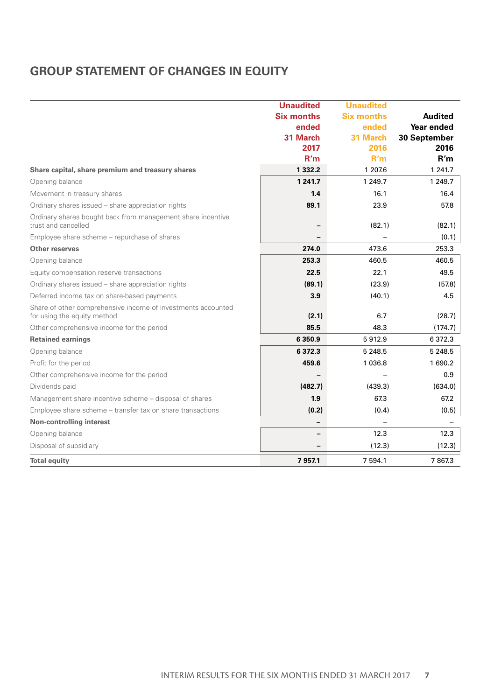# **GROUP STATEMENT OF CHANGES IN EQUITY**

|                                                                                             | <b>Unaudited</b>  | <b>Unaudited</b>  |                |
|---------------------------------------------------------------------------------------------|-------------------|-------------------|----------------|
|                                                                                             | <b>Six months</b> | <b>Six months</b> | <b>Audited</b> |
|                                                                                             | ended             | ended             | Year ended     |
|                                                                                             | 31 March          | 31 March          | 30 September   |
|                                                                                             | 2017              | 2016              | 2016           |
|                                                                                             | R'm               | R'm               | R'm            |
| Share capital, share premium and treasury shares                                            | 1 3 3 2 . 2       | 1 207.6           | 1 241.7        |
| Opening balance                                                                             | 1 2 4 1 .7        | 1 249.7           | 1 249.7        |
| Movement in treasury shares                                                                 | 1.4               | 16.1              | 16.4           |
| Ordinary shares issued - share appreciation rights                                          | 89.1              | 23.9              | 57.8           |
| Ordinary shares bought back from management share incentive<br>trust and cancelled          |                   | (82.1)            | (82.1)         |
| Employee share scheme - repurchase of shares                                                |                   |                   | (0.1)          |
| Other reserves                                                                              | 274.0             | 473.6             | 253.3          |
| Opening balance                                                                             | 253.3             | 460.5             | 460.5          |
| Equity compensation reserve transactions                                                    | 22.5              | 22.1              | 49.5           |
| Ordinary shares issued - share appreciation rights                                          | (89.1)            | (23.9)            | (57.8)         |
| Deferred income tax on share-based payments                                                 | 3.9               | (40.1)            | 4.5            |
| Share of other comprehensive income of investments accounted<br>for using the equity method | (2.1)             | 6.7               | (28.7)         |
| Other comprehensive income for the period                                                   | 85.5              | 48.3              | (174.7)        |
| <b>Retained earnings</b>                                                                    | 6 3 5 0.9         | 5912.9            | 6 3 7 2 . 3    |
| Opening balance                                                                             | 6 3 7 2 . 3       | 5 2 4 8.5         | 5 2 4 8 .5     |
| Profit for the period                                                                       | 459.6             | 1 0 3 6.8         | 1690.2         |
| Other comprehensive income for the period                                                   |                   |                   | 0.9            |
| Dividends paid                                                                              | (482.7)           | (439.3)           | (634.0)        |
| Management share incentive scheme - disposal of shares                                      | 1.9               | 67.3              | 67.2           |
| Employee share scheme - transfer tax on share transactions                                  | (0.2)             | (0.4)             | (0.5)          |
| Non-controlling interest                                                                    | -                 |                   |                |
| Opening balance                                                                             |                   | 12.3              | 12.3           |
| Disposal of subsidiary                                                                      |                   | (12.3)            | (12.3)         |
| <b>Total equity</b>                                                                         | 7957.1            | 7 5 9 4.1         | 7867.3         |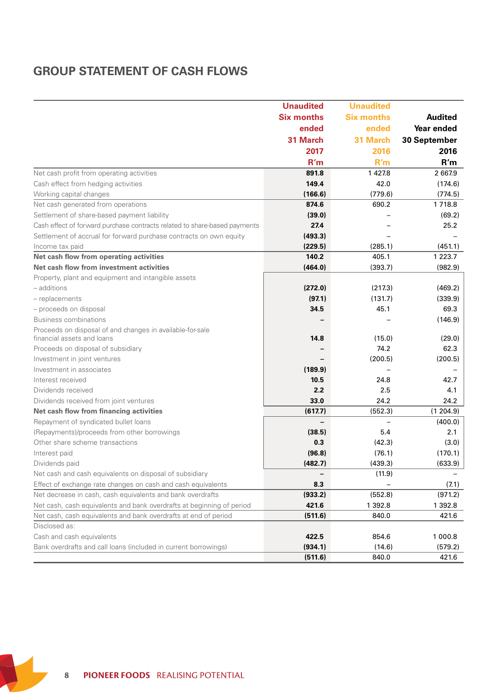# **GROUP STATEMENT OF CASH FLOWS**

|                                                                           | <b>Unaudited</b>         | <b>Unaudited</b>  |                |
|---------------------------------------------------------------------------|--------------------------|-------------------|----------------|
|                                                                           | <b>Six months</b>        | <b>Six months</b> | <b>Audited</b> |
|                                                                           | ended                    | ended             | Year ended     |
|                                                                           | 31 March                 | 31 March          | 30 September   |
|                                                                           | 2017                     | 2016              | 2016           |
|                                                                           | R'm                      | R'm               | R'm            |
| Net cash profit from operating activities                                 | 891.8                    | 1 4 2 7.8         | 2 667.9        |
| Cash effect from hedging activities                                       | 149.4                    | 42.0              | (174.6)        |
| Working capital changes                                                   | (166.6)                  | (779.6)           | (774.5)        |
| Net cash generated from operations                                        | 874.6                    | 690.2             | 1 7 1 8.8      |
| Settlement of share-based payment liability                               | (39.0)                   |                   | (69.2)         |
| Cash effect of forward purchase contracts related to share-based payments | 27.4                     |                   | 25.2           |
| Settlement of accrual for forward purchase contracts on own equity        | (493.3)                  |                   |                |
| Income tax paid                                                           | (229.5)                  | (285.1)           | (451.1)        |
| Net cash flow from operating activities                                   | 140.2                    | 405.1             | 1 2 2 3 . 7    |
| Net cash flow from investment activities                                  | (464.0)                  | (393.7)           | (982.9)        |
| Property, plant and equipment and intangible assets                       |                          |                   |                |
| - additions                                                               | (272.0)                  | (217.3)           | (469.2)        |
| - replacements                                                            | (97.1)                   | (131.7)           | (339.9)        |
| - proceeds on disposal                                                    | 34.5                     | 45.1              | 69.3           |
| <b>Business combinations</b>                                              |                          |                   | (146.9)        |
| Proceeds on disposal of and changes in available-for-sale                 |                          |                   |                |
| financial assets and loans                                                | 14.8                     | (15.0)            | (29.0)         |
| Proceeds on disposal of subsidiary                                        |                          | 74.2              | 62.3           |
| Investment in joint ventures                                              |                          | (200.5)           | (200.5)        |
| Investment in associates                                                  | (189.9)                  |                   |                |
| Interest received<br>Dividends received                                   | 10.5<br>2.2              | 24.8<br>2.5       | 42.7<br>4.1    |
| Dividends received from joint ventures                                    | 33.0                     | 24.2              | 24.2           |
| Net cash flow from financing activities                                   | (617.7)                  | (552.3)           | (1204.9)       |
| Repayment of syndicated bullet loans                                      | $\overline{\phantom{a}}$ | $\qquad \qquad =$ | (400.0)        |
| (Repayments)/proceeds from other borrowings                               | (38.5)                   | 5.4               | 2.1            |
| Other share scheme transactions                                           | 0.3                      | (42.3)            | (3.0)          |
| Interest paid                                                             | (96.8)                   | (76.1)            | (170.1)        |
| Dividends paid                                                            | (482.7)                  | (439.3)           | (633.9)        |
| Net cash and cash equivalents on disposal of subsidiary                   |                          | (11.9)            |                |
| Effect of exchange rate changes on cash and cash equivalents              | 8.3                      |                   | (7.1)          |
| Net decrease in cash, cash equivalents and bank overdrafts                | (933.2)                  | (552.8)           | (971.2)        |
| Net cash, cash equivalents and bank overdrafts at beginning of period     | 421.6                    | 1 3 9 2.8         | 1 3 9 2.8      |
| Net cash, cash equivalents and bank overdrafts at end of period           | (511.6)                  | 840.0             | 421.6          |
| Disclosed as:                                                             |                          |                   |                |
| Cash and cash equivalents                                                 | 422.5                    | 854.6             | 1 000.8        |
| Bank overdrafts and call loans (included in current borrowings)           | (934.1)                  | (14.6)            | (579.2)        |
|                                                                           | (511.6)                  | 840.0             | 421.6          |

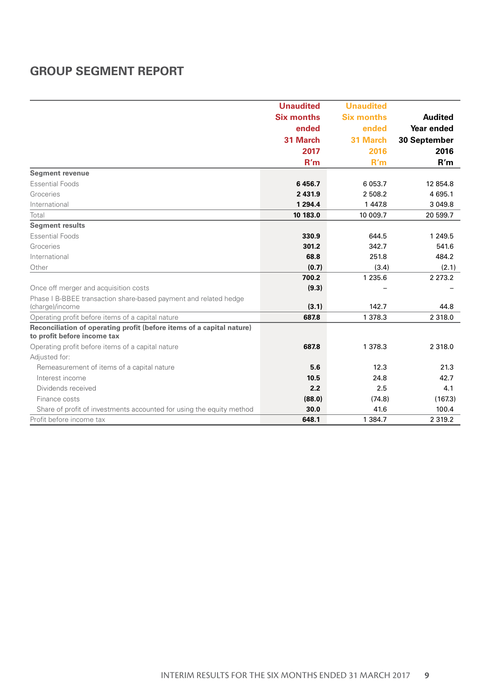# **GROUP SEGMENT REPORT**

|                                                                                                      | <b>Unaudited</b>  | <b>Unaudited</b>  |                |
|------------------------------------------------------------------------------------------------------|-------------------|-------------------|----------------|
|                                                                                                      | <b>Six months</b> | <b>Six months</b> | <b>Audited</b> |
|                                                                                                      | ended             | ended             | Year ended     |
|                                                                                                      | 31 March          | 31 March          | 30 September   |
|                                                                                                      | 2017              | 2016              | 2016           |
|                                                                                                      | R'm               | R'm               | R'm            |
| Segment revenue                                                                                      |                   |                   |                |
| <b>Essential Foods</b>                                                                               | 6456.7            | 6 0 5 3.7         | 12 854.8       |
| Groceries                                                                                            | 2 4 3 1.9         | 2 508.2           | 4 695.1        |
| International                                                                                        | 1 2 9 4 4         | 1 447.8           | 3 0 4 9 . 8    |
| Total                                                                                                | 10 183.0          | 10 009.7          | 20 599.7       |
| <b>Segment results</b>                                                                               |                   |                   |                |
| <b>Essential Foods</b>                                                                               | 330.9             | 644.5             | 1 249.5        |
| Groceries                                                                                            | 301.2             | 342.7             | 541.6          |
| International                                                                                        | 68.8              | 251.8             | 484.2          |
| Other                                                                                                | (0.7)             | (3.4)             | (2.1)          |
|                                                                                                      | 700.2             | 1 2 3 5.6         | 2 2 7 3 . 2    |
| Once off merger and acquisition costs                                                                | (9.3)             |                   |                |
| Phase I B-BBEE transaction share-based payment and related hedge<br>(charge)/income                  | (3.1)             | 142.7             | 44.8           |
| Operating profit before items of a capital nature                                                    | 687.8             | 1 378.3           | 2 3 1 8 .0     |
| Reconciliation of operating profit (before items of a capital nature)<br>to profit before income tax |                   |                   |                |
| Operating profit before items of a capital nature                                                    | 687.8             | 1 378.3           | 2 3 1 8 .0     |
| Adjusted for:                                                                                        |                   |                   |                |
| Remeasurement of items of a capital nature                                                           | 5.6               | 12.3              | 21.3           |
| Interest income                                                                                      | 10.5              | 24.8              | 42.7           |
| Dividends received                                                                                   | 2.2               | 2.5               | 4.1            |
| Finance costs                                                                                        | (88.0)            | (74.8)            | (167.3)        |
| Share of profit of investments accounted for using the equity method                                 | 30.0              | 41.6              | 100.4          |
| Profit before income tax                                                                             | 648.1             | 1 3 8 4.7         | 2 3 1 9 . 2    |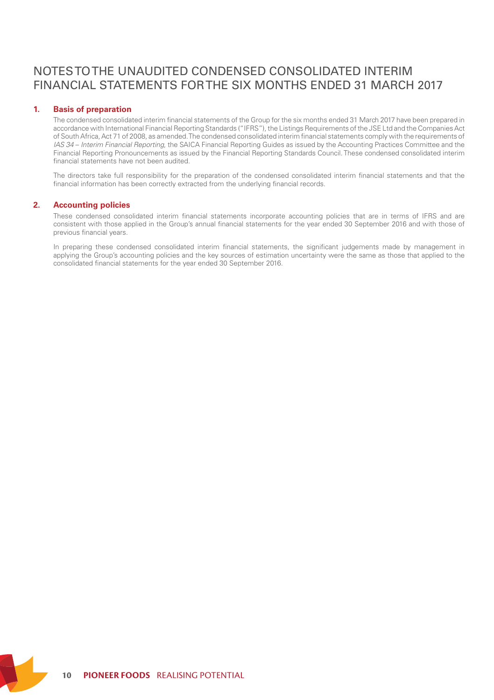# NOTES TO THE UNAUDITED CONDENSED CONSOLIDATED INTERIM FINANCIAL STATEMENTS FOR THE SIX MONTHS ENDED 31 MARCH 2017

### **1. Basis of preparation**

The condensed consolidated interim financial statements of the Group for the six months ended 31 March 2017 have been prepared in accordance with International Financial Reporting Standards ("IFRS"), the Listings Requirements of the JSE Ltd and the Companies Act of South Africa, Act 71 of 2008, as amended. The condensed consolidated interim financial statements comply with the requirements of *IAS 34* – *Interim Financial Reporting*, the SAICA Financial Reporting Guides as issued by the Accounting Practices Committee and the Financial Reporting Pronouncements as issued by the Financial Reporting Standards Council. These condensed consolidated interim financial statements have not been audited.

The directors take full responsibility for the preparation of the condensed consolidated interim financial statements and that the financial information has been correctly extracted from the underlying financial records.

### **2. Accounting policies**

These condensed consolidated interim financial statements incorporate accounting policies that are in terms of IFRS and are consistent with those applied in the Group's annual financial statements for the year ended 30 September 2016 and with those of previous financial years.

In preparing these condensed consolidated interim financial statements, the significant judgements made by management in applying the Group's accounting policies and the key sources of estimation uncertainty were the same as those that applied to the consolidated financial statements for the year ended 30 September 2016.

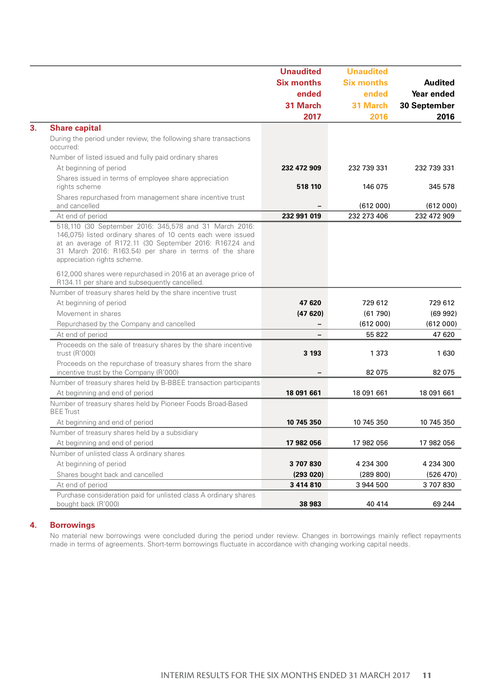|                                                                                                                                                                                                                                                                              | <b>Unaudited</b>  | <b>Unaudited</b>  |                |
|------------------------------------------------------------------------------------------------------------------------------------------------------------------------------------------------------------------------------------------------------------------------------|-------------------|-------------------|----------------|
|                                                                                                                                                                                                                                                                              | <b>Six months</b> | <b>Six months</b> | <b>Audited</b> |
|                                                                                                                                                                                                                                                                              | ended             | ended             | Year ended     |
|                                                                                                                                                                                                                                                                              | 31 March          | 31 March          | 30 September   |
|                                                                                                                                                                                                                                                                              | 2017              | 2016              | 2016           |
| <b>Share capital</b>                                                                                                                                                                                                                                                         |                   |                   |                |
| During the period under review, the following share transactions<br>occurred:                                                                                                                                                                                                |                   |                   |                |
| Number of listed issued and fully paid ordinary shares                                                                                                                                                                                                                       |                   |                   |                |
| At beginning of period                                                                                                                                                                                                                                                       | 232 472 909       | 232 739 331       | 232 739 331    |
| Shares issued in terms of employee share appreciation                                                                                                                                                                                                                        |                   |                   |                |
| rights scheme                                                                                                                                                                                                                                                                | 518 110           | 146 075           | 345 578        |
| Shares repurchased from management share incentive trust                                                                                                                                                                                                                     |                   |                   |                |
| and cancelled                                                                                                                                                                                                                                                                |                   | (612000)          | (612000)       |
| At end of period                                                                                                                                                                                                                                                             | 232 991 019       | 232 273 406       | 232 472 909    |
| 518,110 (30 September 2016: 345,578 and 31 March 2016:<br>146,075) listed ordinary shares of 10 cents each were issued<br>at an average of R172.11 (30 September 2016: R167.24 and<br>31 March 2016: R163.54) per share in terms of the share<br>appreciation rights scheme. |                   |                   |                |
| 612,000 shares were repurchased in 2016 at an average price of<br>R134.11 per share and subsequently cancelled.                                                                                                                                                              |                   |                   |                |
| Number of treasury shares held by the share incentive trust                                                                                                                                                                                                                  |                   |                   |                |
| At beginning of period                                                                                                                                                                                                                                                       | 47 620            | 729 612           | 729 612        |
| Movement in shares                                                                                                                                                                                                                                                           | (47620)           | (61790)           | (69992)        |
| Repurchased by the Company and cancelled                                                                                                                                                                                                                                     | -                 | (612000)          | (612000)       |
| At end of period                                                                                                                                                                                                                                                             |                   | 55 822            | 47 620         |
| Proceeds on the sale of treasury shares by the share incentive<br>trust (R'000)                                                                                                                                                                                              | 3 1 9 3           | 1 373             | 1630           |
| Proceeds on the repurchase of treasury shares from the share                                                                                                                                                                                                                 |                   |                   |                |
| incentive trust by the Company (R'000)                                                                                                                                                                                                                                       |                   | 82 075            | 82 075         |
| Number of treasury shares held by B-BBEE transaction participants                                                                                                                                                                                                            |                   |                   |                |
| At beginning and end of period                                                                                                                                                                                                                                               | 18 091 661        | 18 091 661        | 18 091 661     |
| Number of treasury shares held by Pioneer Foods Broad-Based<br><b>BEE</b> Trust                                                                                                                                                                                              |                   |                   |                |
| At beginning and end of period                                                                                                                                                                                                                                               | 10 745 350        | 10 745 350        | 10 745 350     |
| Number of treasury shares held by a subsidiary                                                                                                                                                                                                                               |                   |                   |                |
| At beginning and end of period                                                                                                                                                                                                                                               | 17 982 056        | 17 982 056        | 17 982 056     |
| Number of unlisted class A ordinary shares                                                                                                                                                                                                                                   |                   |                   |                |
| At beginning of period                                                                                                                                                                                                                                                       | 3707830           | 4 234 300         | 4 234 300      |
| Shares bought back and cancelled                                                                                                                                                                                                                                             | (293020)          | (289 800)         | (526 470)      |
| At end of period                                                                                                                                                                                                                                                             | 3 4 1 4 8 1 0     | 3 944 500         | 3707830        |
| Purchase consideration paid for unlisted class A ordinary shares                                                                                                                                                                                                             |                   |                   |                |
| bought back (R'000)                                                                                                                                                                                                                                                          | 38 983            | 40 414            | 69 244         |

### **4. Borrowings**

No material new borrowings were concluded during the period under review. Changes in borrowings mainly reflect repayments<br>made in terms of agreements. Short-term borrowings fluctuate in accordance with changing working cap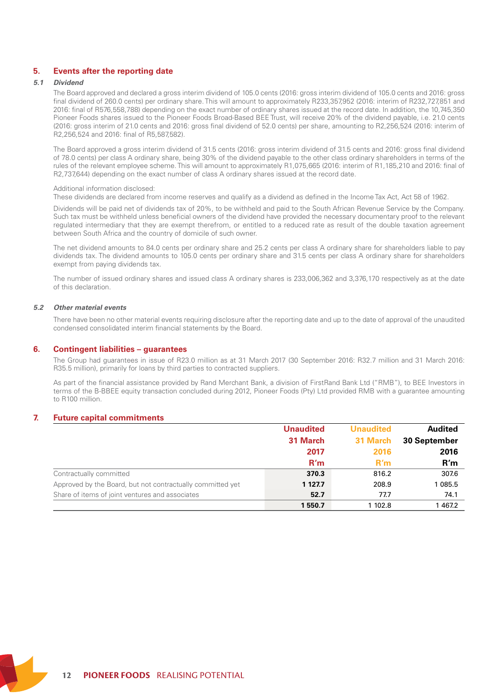### **5. Events after the reporting date**

### *5.1 Dividend*

The Board approved and declared a gross interim dividend of 105.0 cents (2016: gross interim dividend of 105.0 cents and 2016: gross final dividend of 260.0 cents) per ordinary share. This will amount to approximately R233,357,952 (2016: interim of R232,727,851 and 2016: final of R576,558,788) depending on the exact number of ordinary shares issued at the record date. In addition, the 10,745,350 Pioneer Foods shares issued to the Pioneer Foods Broad-Based BEE Trust, will receive 20% of the dividend payable, i.e. 21.0 cents (2016: gross interim of 21.0 cents and 2016: gross final dividend of 52.0 cents) per share, amounting to R2,256,524 (2016: interim of R2,256,524 and 2016: final of R5,587,582).

The Board approved a gross interim dividend of 31.5 cents (2016: gross interim dividend of 31.5 cents and 2016: gross final dividend of 78.0 cents) per class A ordinary share, being 30% of the dividend payable to the other class ordinary shareholders in terms of the rules of the relevant employee scheme. This will amount to approximately R1,075,665 (2016: interim of R1,185,210 and 2016: final of R2,737,644) depending on the exact number of class A ordinary shares issued at the record date.

#### Additional information disclosed:

These dividends are declared from income reserves and qualify as a dividend as defined in the Income Tax Act, Act 58 of 1962.

Dividends will be paid net of dividends tax of 20%, to be withheld and paid to the South African Revenue Service by the Company. Such tax must be withheld unless beneficial owners of the dividend have provided the necessary documentary proof to the relevant regulated intermediary that they are exempt therefrom, or entitled to a reduced rate as result of the double taxation agreement between South Africa and the country of domicile of such owner.

The net dividend amounts to 84.0 cents per ordinary share and 25.2 cents per class A ordinary share for shareholders liable to pay dividends tax. The dividend amounts to 105.0 cents per ordinary share and 31.5 cents per class A ordinary share for shareholders exempt from paying dividends tax.

The number of issued ordinary shares and issued class A ordinary shares is 233,006,362 and 3,376,170 respectively as at the date of this declaration.

### *5.2 Other material events*

There have been no other material events requiring disclosure after the reporting date and up to the date of approval of the unaudited condensed consolidated interim financial statements by the Board.

#### **6. Contingent liabilities – guarantees**

The Group had guarantees in issue of R23.0 million as at 31 March 2017 (30 September 2016: R32.7 million and 31 March 2016: R35.5 million), primarily for loans by third parties to contracted suppliers.

As part of the financial assistance provided by Rand Merchant Bank, a division of FirstRand Bank Ltd ("RMB"), to BEE Investors in terms of the B-BBEE equity transaction concluded during 2012, Pioneer Foods (Pty) Ltd provided RMB with a guarantee amounting to R100 million.

### **7. Future capital commitments**

|                                                            | <b>Unaudited</b> | <b>Unaudited</b> | <b>Audited</b> |
|------------------------------------------------------------|------------------|------------------|----------------|
|                                                            | 31 March         | 31 March         | 30 September   |
|                                                            | 2017             | 2016             | 2016           |
|                                                            | R'm              | R'm              | R'm            |
| Contractually committed                                    | 370.3            | 816.2            | 307.6          |
| Approved by the Board, but not contractually committed yet | 1 127.7          | 208.9            | 1 085.5        |
| Share of items of joint ventures and associates            | 52.7             | 77.7             | 74.1           |
|                                                            | 1550.7           | 1 102.8          | 1467.2         |

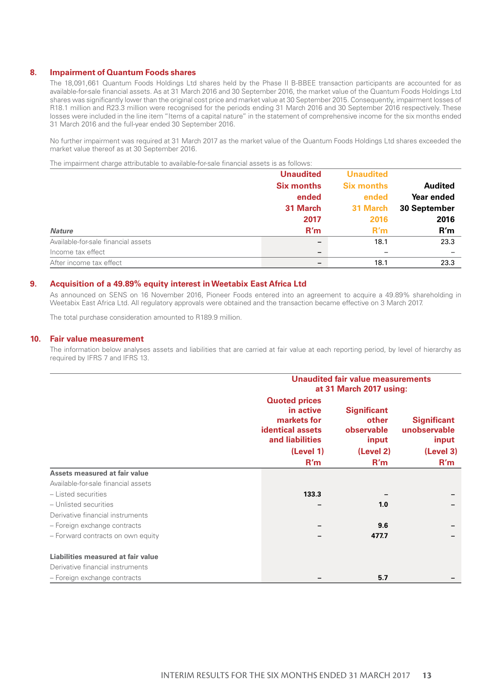### **8. Impairment of Quantum Foods shares**

The 18,091,661 Quantum Foods Holdings Ltd shares held by the Phase II B-BBEE transaction participants are accounted for as available-for-sale financial assets. As at 31 March 2016 and 30 September 2016, the market value of the Quantum Foods Holdings Ltd shares was significantly lower than the original cost price and market value at 30 September 2015. Consequently, impairment losses of R18.1 million and R23.3 million were recognised for the periods ending 31 March 2016 and 30 September 2016 respectively. These losses were included in the line item "Items of a capital nature" in the statement of comprehensive income for the six months ended 31 March 2016 and the full-year ended 30 September 2016.

No further impairment was required at 31 March 2017 as the market value of the Quantum Foods Holdings Ltd shares exceeded the market value thereof as at 30 September 2016.

The impairment charge attributable to available-for-sale financial assets is as follows:

|                                     | <b>Unaudited</b>         | <b>Unaudited</b>  |                |
|-------------------------------------|--------------------------|-------------------|----------------|
|                                     | <b>Six months</b>        | <b>Six months</b> | <b>Audited</b> |
|                                     | ended                    | ended             | Year ended     |
|                                     | 31 March                 | 31 March          | 30 September   |
|                                     | 2017                     | 2016              | 2016           |
| <b>Nature</b>                       | R'm                      | R'm               | R'm            |
| Available-for-sale financial assets |                          | 18.1              | 23.3           |
| Income tax effect                   | $\overline{\phantom{0}}$ |                   | -              |
| After income tax effect             |                          | 18.1              | 23.3           |

#### **9. Acquisition of a 49.89% equity interest in Weetabix East Africa Ltd**

As announced on SENS on 16 November 2016, Pioneer Foods entered into an agreement to acquire a 49.89% shareholding in Weetabix East Africa Ltd. All regulatory approvals were obtained and the transaction became effective on 3 March 2017.

The total purchase consideration amounted to R189.9 million.

### **10. Fair value measurement**

The information below analyses assets and liabilities that are carried at fair value at each reporting period, by level of hierarchy as required by IFRS 7 and IFRS 13.

|                                     |                                                                                                | Unaudited fair value measurements<br>at 31 March 2017 using: |                                             |  |
|-------------------------------------|------------------------------------------------------------------------------------------------|--------------------------------------------------------------|---------------------------------------------|--|
|                                     | <b>Quoted prices</b><br>in active<br>markets for<br><b>identical assets</b><br>and liabilities | <b>Significant</b><br>other<br>observable<br>input           | <b>Significant</b><br>unobservable<br>input |  |
|                                     | (Level 1)                                                                                      | (Level 2)                                                    | (Level 3)                                   |  |
|                                     | R'm                                                                                            | R'm                                                          | R'm                                         |  |
| Assets measured at fair value       |                                                                                                |                                                              |                                             |  |
| Available-for-sale financial assets |                                                                                                |                                                              |                                             |  |
| - Listed securities                 | 133.3                                                                                          |                                                              |                                             |  |
| - Unlisted securities               |                                                                                                | 1.0                                                          |                                             |  |
| Derivative financial instruments    |                                                                                                |                                                              |                                             |  |
| - Foreign exchange contracts        |                                                                                                | 9.6                                                          |                                             |  |
| - Forward contracts on own equity   |                                                                                                | 477.7                                                        |                                             |  |
| Liabilities measured at fair value  |                                                                                                |                                                              |                                             |  |
| Derivative financial instruments    |                                                                                                |                                                              |                                             |  |
| - Foreign exchange contracts        |                                                                                                | 5.7                                                          |                                             |  |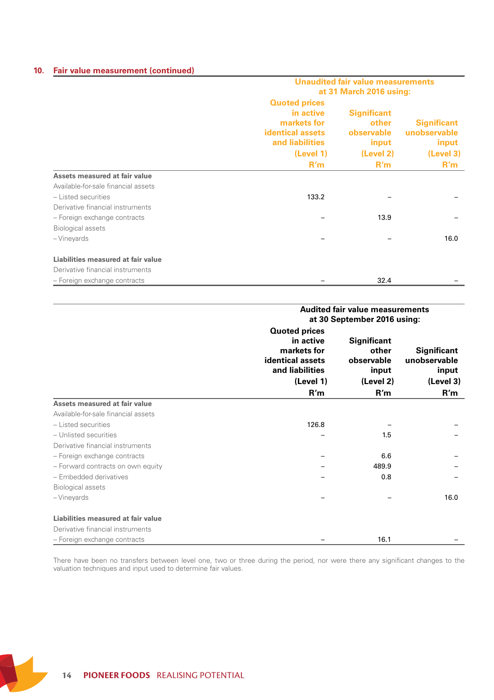## **10. Fair value measurement (continued)**

|                                     | Unaudited fair value measurements                                                                                  |                                                                        |                                                                 |  |
|-------------------------------------|--------------------------------------------------------------------------------------------------------------------|------------------------------------------------------------------------|-----------------------------------------------------------------|--|
|                                     | at 31 March 2016 using:                                                                                            |                                                                        |                                                                 |  |
|                                     | <b>Quoted prices</b><br>in active<br>markets for<br><b>identical assets</b><br>and liabilities<br>(Level 1)<br>R'm | <b>Significant</b><br>other<br>observable<br>input<br>(Level 2)<br>R'm | <b>Significant</b><br>unobservable<br>input<br>(Level 3)<br>R'm |  |
|                                     |                                                                                                                    |                                                                        |                                                                 |  |
| Assets measured at fair value       |                                                                                                                    |                                                                        |                                                                 |  |
| Available-for-sale financial assets |                                                                                                                    |                                                                        |                                                                 |  |
| - Listed securities                 | 133.2                                                                                                              |                                                                        |                                                                 |  |
| Derivative financial instruments    |                                                                                                                    |                                                                        |                                                                 |  |
| - Foreign exchange contracts        |                                                                                                                    | 13.9                                                                   |                                                                 |  |
| <b>Biological assets</b>            |                                                                                                                    |                                                                        |                                                                 |  |
| - Vineyards                         |                                                                                                                    |                                                                        | 16.0                                                            |  |
| Liabilities measured at fair value  |                                                                                                                    |                                                                        |                                                                 |  |
| Derivative financial instruments    |                                                                                                                    |                                                                        |                                                                 |  |
| - Foreign exchange contracts        |                                                                                                                    | 32.4                                                                   |                                                                 |  |

|                                     | <b>Audited fair value measurements</b><br>at 30 September 2016 using:                                       |                                                                        |                                                          |  |
|-------------------------------------|-------------------------------------------------------------------------------------------------------------|------------------------------------------------------------------------|----------------------------------------------------------|--|
|                                     | <b>Quoted prices</b><br>in active<br>markets for<br>identical assets<br>and liabilities<br>(Level 1)<br>R'm | <b>Significant</b><br>other<br>observable<br>input<br>(Level 2)<br>R'm | Significant<br>unobservable<br>input<br>(Level 3)<br>R'm |  |
| Assets measured at fair value       |                                                                                                             |                                                                        |                                                          |  |
| Available-for-sale financial assets |                                                                                                             |                                                                        |                                                          |  |
| - Listed securities                 | 126.8                                                                                                       |                                                                        |                                                          |  |
| - Unlisted securities               |                                                                                                             | 1.5                                                                    |                                                          |  |
| Derivative financial instruments    |                                                                                                             |                                                                        |                                                          |  |
| - Foreign exchange contracts        |                                                                                                             | 6.6                                                                    |                                                          |  |
| - Forward contracts on own equity   |                                                                                                             | 489.9                                                                  |                                                          |  |
| - Embedded derivatives              |                                                                                                             | 0.8                                                                    |                                                          |  |
| <b>Biological assets</b>            |                                                                                                             |                                                                        |                                                          |  |
| - Vineyards                         |                                                                                                             |                                                                        | 16.0                                                     |  |
| Liabilities measured at fair value  |                                                                                                             |                                                                        |                                                          |  |
| Derivative financial instruments    |                                                                                                             |                                                                        |                                                          |  |
| - Foreign exchange contracts        |                                                                                                             | 16.1                                                                   |                                                          |  |

There have been no transfers between level one, two or three during the period, nor were there any significant changes to the valuation techniques and input used to determine fair values.

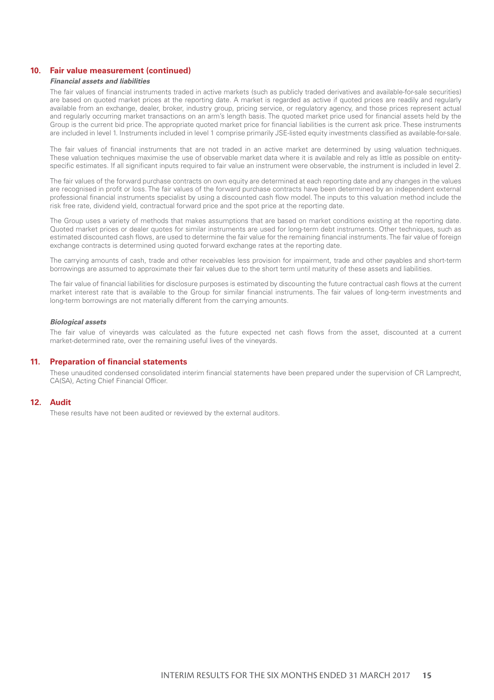### **10. Fair value measurement (continued)**

### *Financial assets and liabilities*

The fair values of financial instruments traded in active markets (such as publicly traded derivatives and available-for-sale securities) are based on quoted market prices at the reporting date. A market is regarded as active if quoted prices are readily and regularly available from an exchange, dealer, broker, industry group, pricing service, or regulatory agency, and those prices represent actual and regularly occurring market transactions on an arm's length basis. The quoted market price used for financial assets held by the Group is the current bid price. The appropriate quoted market price for financial liabilities is the current ask price. These instruments are included in level 1. Instruments included in level 1 comprise primarily JSE-listed equity investments classified as available-for-sale.

The fair values of financial instruments that are not traded in an active market are determined by using valuation techniques. These valuation techniques maximise the use of observable market data where it is available and rely as little as possible on entityspecific estimates. If all significant inputs required to fair value an instrument were observable, the instrument is included in level 2.

The fair values of the forward purchase contracts on own equity are determined at each reporting date and any changes in the values are recognised in profit or loss. The fair values of the forward purchase contracts have been determined by an independent external professional financial instruments specialist by using a discounted cash flow model. The inputs to this valuation method include the risk free rate, dividend yield, contractual forward price and the spot price at the reporting date.

The Group uses a variety of methods that makes assumptions that are based on market conditions existing at the reporting date. Quoted market prices or dealer quotes for similar instruments are used for long-term debt instruments. Other techniques, such as estimated discounted cash flows, are used to determine the fair value for the remaining financial instruments. The fair value of foreign exchange contracts is determined using quoted forward exchange rates at the reporting date.

The carrying amounts of cash, trade and other receivables less provision for impairment, trade and other payables and short-term borrowings are assumed to approximate their fair values due to the short term until maturity of these assets and liabilities.

The fair value of financial liabilities for disclosure purposes is estimated by discounting the future contractual cash flows at the current market interest rate that is available to the Group for similar financial instruments. The fair values of long-term investments and long-term borrowings are not materially different from the carrying amounts.

### *Biological assets*

The fair value of vineyards was calculated as the future expected net cash flows from the asset, discounted at a current market-determined rate, over the remaining useful lives of the vineyards.

### **11. Preparation of financial statements**

These unaudited condensed consolidated interim financial statements have been prepared under the supervision of CR Lamprecht, CA(SA), Acting Chief Financial Officer.

### **12. Audit**

These results have not been audited or reviewed by the external auditors.